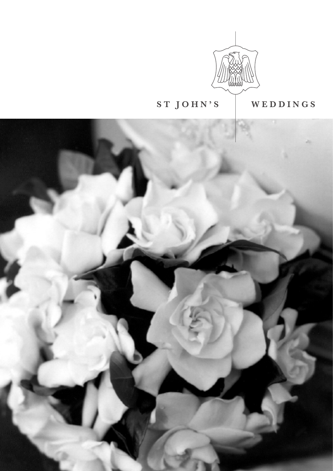

# **ST JOHN'S WEDDINGS**

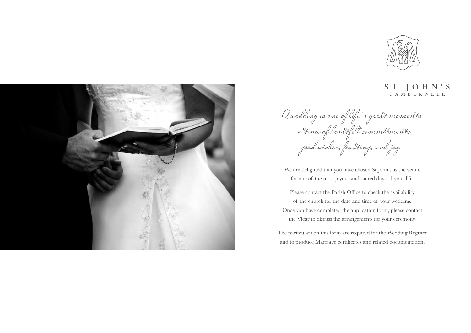



We are delighted that you have chosen St John's as the venue for one of the most joyous and sacred days of your life.

Please contact the Parish Office to check the availability of the church for the date and time of your wedding. Once you have completed the application form, please contact the Vicar to discuss the arrangements for your ceremony.

The particulars on this form are required for the Wedding Register and to produce Marriage certificates and related documentation.

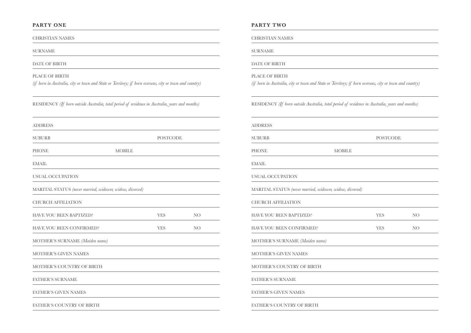## **PARTY ONE**

CHRISTIAN NAMES

SURNAME

DATE OF BIRTH

PLACE OF BIRTH *(if born in Australia, city or town and State or Territory; if born overseas, city or town and country)*

RESIDENCY *(If born outside Australia, total period of residence in Australia, years and months)*

| <b>ADDRESS</b>                                           |               |                 |                 |
|----------------------------------------------------------|---------------|-----------------|-----------------|
| <b>SUBURB</b>                                            |               | <b>POSTCODE</b> |                 |
| <b>PHONE</b>                                             | <b>MOBILE</b> |                 |                 |
| <b>EMAIL</b>                                             |               |                 |                 |
| <b>USUAL OCCUPATION</b>                                  |               |                 |                 |
| MARITAL STATUS (never married, widower, widow, divorced) |               |                 |                 |
| <b>CHURCH AFFILIATION</b>                                |               |                 |                 |
| <b>HAVE YOU BEEN BAPTIZED?</b>                           |               | <b>YES</b>      | NO.             |
| <b>HAVE YOU BEEN CONFIRMED?</b>                          |               | <b>YES</b>      | NO <sub>1</sub> |
| MOTHER'S SURNAME (Maiden name)                           |               |                 |                 |
| <b>MOTHER'S GIVEN NAMES</b>                              |               |                 |                 |
| MOTHER'S COUNTRY OF BIRTH                                |               |                 |                 |
| <b>FATHER'S SURNAME</b>                                  |               |                 |                 |
| <b>FATHER'S GIVEN NAMES</b>                              |               |                 |                 |
| <b>FATHER'S COUNTRY OF BIRTH</b>                         |               |                 |                 |

### **PARTY TWO**

CHRISTIAN NAMES

SURNAME

DATE OF BIRTH

PLACE OF BIRTH

*(if born in Australia, city or town and State or Territory; if born overseas, city or town and country)*

RESIDENCY *(If born outside Australia, total period of residence in Australia, years and months)*

| <b>ADDRESS</b>                                           |               |                 |                 |
|----------------------------------------------------------|---------------|-----------------|-----------------|
| <b>SUBURB</b>                                            |               | <b>POSTCODE</b> |                 |
| <b>PHONE</b>                                             | <b>MOBILE</b> |                 |                 |
| <b>EMAIL</b>                                             |               |                 |                 |
| <b>USUAL OCCUPATION</b>                                  |               |                 |                 |
| MARITAL STATUS (never married, widower, widow, divorced) |               |                 |                 |
| <b>CHURCH AFFILIATION</b>                                |               |                 |                 |
| <b>HAVE YOU BEEN BAPTIZED?</b>                           |               | <b>YES</b>      | NO <sub>1</sub> |
| <b>HAVE YOU BEEN CONFIRMED?</b>                          |               | <b>YES</b>      | NO <sub>1</sub> |
| MOTHER'S SURNAME (Maiden name)                           |               |                 |                 |
| <b>MOTHER'S GIVEN NAMES</b>                              |               |                 |                 |
| <b>MOTHER'S COUNTRY OF BIRTH</b>                         |               |                 |                 |
| <b>FATHER'S SURNAME</b>                                  |               |                 |                 |
| <b>FATHER'S GIVEN NAMES</b>                              |               |                 |                 |
| <b>FATHER'S COUNTRY OF BIRTH</b>                         |               |                 |                 |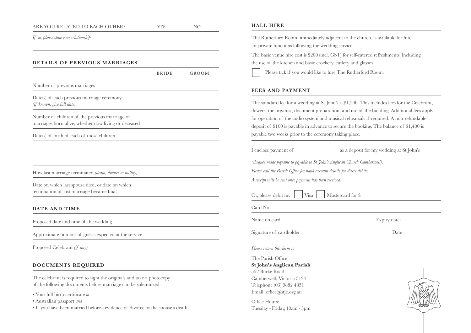### ARE YOU RELATED TO EACH OTHER?  $YES$  NO

*If so, please state your relationship*

# **DETAILS OF PREVIOUS MARRIAGES**

|                                                                                                                                        | <b>BRIDE</b> | GROOM |
|----------------------------------------------------------------------------------------------------------------------------------------|--------------|-------|
| Number of previous marriages                                                                                                           |              |       |
| Date(s) of each previous marriage ceremony<br>(if known, give full date)                                                               |              |       |
| Number of children of the previous marriage or<br>marriages born alive, whether now living or deceased                                 |              |       |
| Date(s) of birth of each of those children                                                                                             |              |       |
|                                                                                                                                        |              |       |
| How last marriage terminated (death, divorce or nullity)                                                                               |              |       |
| Date on which last spouse died, or date on which<br>termination of last marriage became final                                          |              |       |
| DATE AND TIME                                                                                                                          |              |       |
| Proposed date and time of the wedding                                                                                                  |              |       |
| Approximate number of guests expected at the service                                                                                   |              |       |
| Proposed Celebrant (if any)                                                                                                            |              |       |
| DOCUMENTS REQUIRED                                                                                                                     |              |       |
| The celebrant is required to sight the originals and take a photocopy<br>of the following documents before marriage can be solemnized. |              |       |

• Your full birth certificate *or*

- Australian passport *and*
- If you have been married before evidence of divorce or the spouse's death.

# **HALL HIRE**

The Rutherford Room, immediately adjacent to the church, is available for hire for private functions following the wedding service.

The basic venue hire cost is \$200 (incl. GST) for self-catered refreshments, including the use of the kitchen and basic crockery, cutlery and glasses.

Please tick if you would like to hire The Rutherford Room.

# **FEES AND PAYMENT**

The standard fee for a wedding at St John's is \$1,500. This includes fees for the Celebrant, flowers, the organist, document preparation, and use of the building. Additional fees apply for operation of the audio system and musical rehearsals if required. A non-refundable deposit of \$100 is payable in advance to secure the booking. The balance of \$1,400 is payable two weeks prior to the ceremony taking place.

|  |  | I enclose payment of |  |
|--|--|----------------------|--|
|--|--|----------------------|--|

as a deposit for my wedding at St John's

*(cheques made payable to payable to St John's Anglican Church Camberwell).*

*Please call the Parish Office for bank account details for direct debits.*

*A receipt will be sent once payment has been received.*

| Or, please debit my | Visa | Mastercard for \$ |
|---------------------|------|-------------------|
|---------------------|------|-------------------|

Card No.

Name on card: Expiry date:

Signature of cardholder Date

*Please return this form to*

The Parish Office **St John's Anglican Parish** 552 Burke Road Camberwell, Victoria 3124 Telephone (03) 9882 4851 Email office@stjc.org.au

Office Hours: Tuesday - Friday, 10am - 3pm